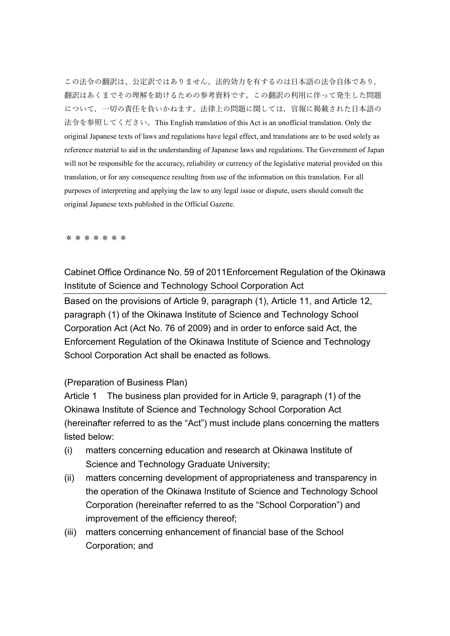この法令の翻訳は、公定訳ではありません。法的効力を有するのは日本語の法令自体であり, 翻訳はあくまでその理解を助けるための参考資料です。この翻訳の利用に伴って発生した問題 について,一切の責任を負いかねます。法律上の問題に関しては,官報に掲載された日本語の 法令を参照してください。This English translation of this Act is an unofficial translation. Only the original Japanese texts of laws and regulations have legal effect, and translations are to be used solely as reference material to aid in the understanding of Japanese laws and regulations. The Government of Japan will not be responsible for the accuracy, reliability or currency of the legislative material provided on this translation, or for any consequence resulting from use of the information on this translation. For all purposes of interpreting and applying the law to any legal issue or dispute, users should consult the original Japanese texts published in the Official Gazette.

\*\*\*\*\*\*\*

Cabinet Office Ordinance No. 59 of 2011Enforcement Regulation of the Okinawa Institute of Science and Technology School Corporation Act

Based on the provisions of Article 9, paragraph (1), Article 11, and Article 12, paragraph (1) of the Okinawa Institute of Science and Technology School Corporation Act (Act No. 76 of 2009) and in order to enforce said Act, the Enforcement Regulation of the Okinawa Institute of Science and Technology School Corporation Act shall be enacted as follows.

#### (Preparation of Business Plan)

Article 1 The business plan provided for in Article 9, paragraph (1) of the Okinawa Institute of Science and Technology School Corporation Act (hereinafter referred to as the "Act") must include plans concerning the matters listed below:

- (i) matters concerning education and research at Okinawa Institute of Science and Technology Graduate University;
- (ii) matters concerning development of appropriateness and transparency in the operation of the Okinawa Institute of Science and Technology School Corporation (hereinafter referred to as the "School Corporation") and improvement of the efficiency thereof;
- (iii) matters concerning enhancement of financial base of the School Corporation; and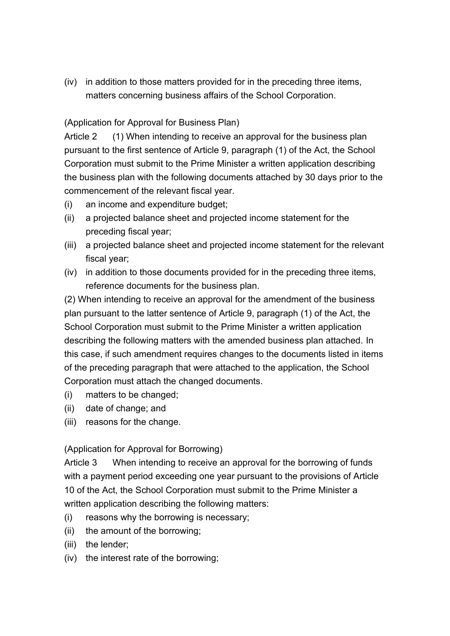(iv) in addition to those matters provided for in the preceding three items, matters concerning business affairs of the School Corporation.

## (Application for Approval for Business Plan)

Article 2 (1) When intending to receive an approval for the business plan pursuant to the first sentence of Article 9, paragraph (1) of the Act, the School Corporation must submit to the Prime Minister a written application describing the business plan with the following documents attached by 30 days prior to the commencement of the relevant fiscal year.

- (i) an income and expenditure budget;
- (ii) a projected balance sheet and projected income statement for the preceding fiscal year;
- (iii) a projected balance sheet and projected income statement for the relevant fiscal year;
- (iv) in addition to those documents provided for in the preceding three items, reference documents for the business plan.

(2) When intending to receive an approval for the amendment of the business plan pursuant to the latter sentence of Article 9, paragraph (1) of the Act, the School Corporation must submit to the Prime Minister a written application describing the following matters with the amended business plan attached. In this case, if such amendment requires changes to the documents listed in items of the preceding paragraph that were attached to the application, the School Corporation must attach the changed documents.

- (i) matters to be changed;
- (ii) date of change; and
- (iii) reasons for the change.

### (Application for Approval for Borrowing)

Article 3 When intending to receive an approval for the borrowing of funds with a payment period exceeding one year pursuant to the provisions of Article 10 of the Act, the School Corporation must submit to the Prime Minister a written application describing the following matters:

- (i) reasons why the borrowing is necessary;
- (ii) the amount of the borrowing;
- (iii) the lender;
- (iv) the interest rate of the borrowing;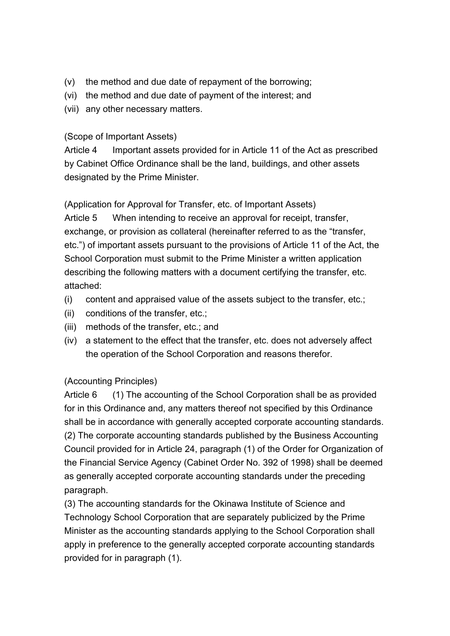- (v) the method and due date of repayment of the borrowing;
- (vi) the method and due date of payment of the interest; and
- (vii) any other necessary matters.

## (Scope of Important Assets)

Article 4 Important assets provided for in Article 11 of the Act as prescribed by Cabinet Office Ordinance shall be the land, buildings, and other assets designated by the Prime Minister.

(Application for Approval for Transfer, etc. of Important Assets)

Article 5 When intending to receive an approval for receipt, transfer, exchange, or provision as collateral (hereinafter referred to as the "transfer, etc.") of important assets pursuant to the provisions of Article 11 of the Act, the School Corporation must submit to the Prime Minister a written application describing the following matters with a document certifying the transfer, etc. attached:

- (i) content and appraised value of the assets subject to the transfer, etc.;
- (ii) conditions of the transfer, etc.;
- (iii) methods of the transfer, etc.; and
- (iv) a statement to the effect that the transfer, etc. does not adversely affect the operation of the School Corporation and reasons therefor.

# (Accounting Principles)

Article 6 (1) The accounting of the School Corporation shall be as provided for in this Ordinance and, any matters thereof not specified by this Ordinance shall be in accordance with generally accepted corporate accounting standards. (2) The corporate accounting standards published by the Business Accounting Council provided for in Article 24, paragraph (1) of the Order for Organization of the Financial Service Agency (Cabinet Order No. 392 of 1998) shall be deemed as generally accepted corporate accounting standards under the preceding paragraph.

(3) The accounting standards for the Okinawa Institute of Science and Technology School Corporation that are separately publicized by the Prime Minister as the accounting standards applying to the School Corporation shall apply in preference to the generally accepted corporate accounting standards provided for in paragraph (1).